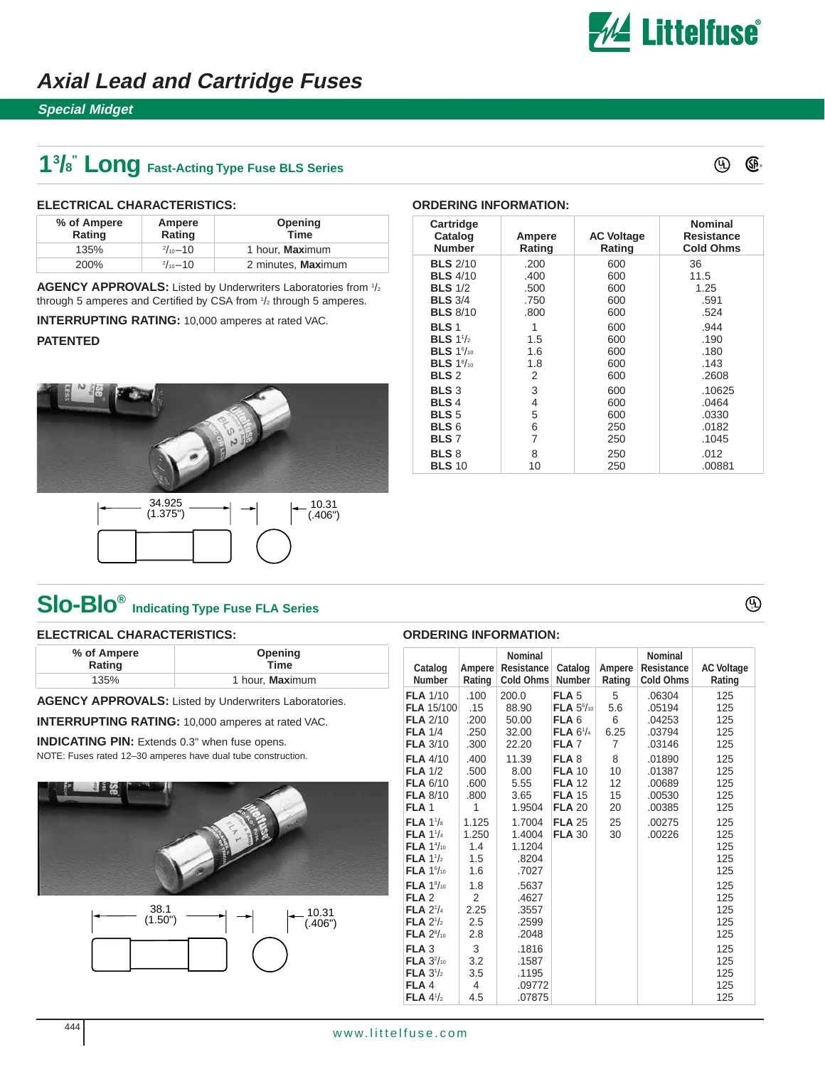

### **Axial Lead and Cartridge Fuses**

### **Special Midget**

## **13 /8 " Long Fast-Acting Type Fuse BLS Series**



® **UL**

#### **ELECTRICAL CHARACTERISTICS:**

| % of Ampere<br>Rating | Ampere<br>Rating    | Opening<br><b>Time</b>  |
|-----------------------|---------------------|-------------------------|
| 135%                  | $\frac{2}{10}$ -10  | 1 hour, <b>Max</b> imum |
| 200%                  | $\frac{2}{10} - 10$ | 2 minutes, Maximum      |

AGENCY APPROVALS: Listed by Underwriters Laboratories from 1/2 through 5 amperes and Certified by CSA from  $\frac{1}{2}$  through 5 amperes.

**INTERRUPTING RATING:** 10,000 amperes at rated VAC.

#### **PATENTED**





| Cartridge<br>Catalog<br><b>Number</b> | Ampere<br>Rating | <b>AC Voltage</b><br>Rating | <b>Nominal</b><br>Resistance<br><b>Cold Ohms</b> |
|---------------------------------------|------------------|-----------------------------|--------------------------------------------------|
| <b>BLS</b> 2/10                       | .200             | 600                         | 36                                               |
| <b>BLS</b> 4/10                       | .400             | 600                         | 11.5                                             |
| <b>BLS</b> 1/2                        | .500             | 600                         | 1.25                                             |
| <b>BLS</b> 3/4                        | .750             | 600                         | .591                                             |
| <b>BLS 8/10</b>                       | .800             | 600                         | .524                                             |
| <b>BLS 1</b>                          | 1                | 600                         | .944                                             |
| <b>BLS</b> $1\frac{1}{2}$             | 1.5              | 600                         | .190                                             |
| BLS $1\%$                             | 1.6              | 600                         | .180                                             |
| BLS $1\%$ <sub>10</sub>               | 1.8              | 600                         | .143                                             |
| BLS <sub>2</sub>                      | 2                | 600                         | .2608                                            |
| <b>BLS3</b>                           | 3                | 600                         | .10625                                           |
| <b>BLS4</b>                           | 4                | 600                         | .0464                                            |
| <b>BLS</b> 5                          | 5                | 600                         | .0330                                            |
| BLS <sub>6</sub>                      | 6                | 250                         | .0182                                            |
| <b>BLS7</b>                           | 7                | 250                         | .1045                                            |
| <b>BLS 8</b>                          | 8                | 250                         | .012                                             |
| <b>BLS 10</b>                         | 10               | 250                         | .00881                                           |

**ORDERING INFORMATION:**

## **Slo-Blo® Indicating Type Fuse FLA Series**

#### **ELECTRICAL CHARACTERISTICS:**

| % of Ampere | Opening         |  |  |  |
|-------------|-----------------|--|--|--|
| Rating      | <b>Time</b>     |  |  |  |
| 135%        | 1 hour, Maximum |  |  |  |

**AGENCY APPROVALS:** Listed by Underwriters Laboratories.

**INTERRUPTING RATING:** 10,000 amperes at rated VAC.

**INDICATING PIN:** Extends 0.3" when fuse opens. NOTE: Fuses rated 12–30 amperes have dual tube construction.





| <b>ORDERING INFORMATION:</b>                                                                                                          |                                     |                                                         |                                                                                                                |                            |                                                         |                                 |  |
|---------------------------------------------------------------------------------------------------------------------------------------|-------------------------------------|---------------------------------------------------------|----------------------------------------------------------------------------------------------------------------|----------------------------|---------------------------------------------------------|---------------------------------|--|
| Catalog<br><b>Number</b>                                                                                                              | Ampere<br>Rating                    | <b>Nominal</b><br><b>Resistance</b><br><b>Cold Ohms</b> | Catalog<br><b>Number</b>                                                                                       | Ampere<br>Rating           | <b>Nominal</b><br><b>Resistance</b><br><b>Cold Ohms</b> | <b>AC Voltage</b><br>Rating     |  |
| <b>FLA 1/10</b><br><b>FLA 15/100</b><br><b>FLA 2/10</b><br><b>FLA 1/4</b><br><b>FLA 3/10</b>                                          | .100<br>.15<br>.200<br>.250<br>.300 | 200.0<br>88.90<br>50.00<br>32.00<br>22.20               | FLA <sub>5</sub><br><b>FLA</b> $5\frac{6}{10}$<br>FLA <sub>6</sub><br><b>FLA</b> $6^{1/4}$<br>FLA <sub>7</sub> | 5<br>5.6<br>6<br>6.25<br>7 | .06304<br>.05194<br>.04253<br>.03794<br>.03146          | 125<br>125<br>125<br>125<br>125 |  |
| <b>FLA 4/10</b><br><b>FLA 1/2</b><br><b>FLA 6/10</b><br><b>FLA 8/10</b><br>FLA <sub>1</sub>                                           | .400<br>.500<br>.600<br>.800<br>1   | 11.39<br>8.00<br>5.55<br>3.65<br>1.9504                 | FLA <sub>8</sub><br><b>FLA 10</b><br><b>FLA 12</b><br><b>FLA 15</b><br><b>FLA 20</b>                           | 8<br>10<br>12<br>15<br>20  | .01890<br>.01387<br>.00689<br>.00530<br>.00385          | 125<br>125<br>125<br>125<br>125 |  |
| FLA 1 <sup>1</sup> /s<br>FLA 1 <sup>1</sup> / <sub>4</sub><br><b>FLA</b> $1\frac{4}{10}$<br>FLA $1\frac{1}{2}$<br>FLA $1\frac{6}{10}$ | 1.125<br>1.250<br>1.4<br>1.5<br>1.6 | 1.7004<br>1.4004<br>1.1204<br>.8204<br>.7027            | <b>FLA 25</b><br><b>FLA 30</b>                                                                                 | 25<br>30                   | .00275<br>.00226                                        | 125<br>125<br>125<br>125<br>125 |  |
| <b>FLA</b> $1\frac{8}{10}$<br>FLA <sub>2</sub><br>FLA $2\frac{1}{4}$<br>FLA $2\frac{1}{2}$<br>FLA $2\frac{8}{10}$                     | 1.8<br>2<br>2.25<br>2.5<br>2.8      | .5637<br>.4627<br>.3557<br>.2599<br>.2048               |                                                                                                                |                            |                                                         | 125<br>125<br>125<br>125<br>125 |  |
| FLA <sub>3</sub><br><b>FLA</b> $3^{2}/_{10}$<br>FLA $3\frac{1}{2}$<br>FLA4<br>FLA $4\frac{1}{2}$                                      | 3<br>3.2<br>3.5<br>4<br>4.5         | .1816<br>.1587<br>.1195<br>.09772<br>.07875             |                                                                                                                |                            |                                                         | 125<br>125<br>125<br>125<br>125 |  |